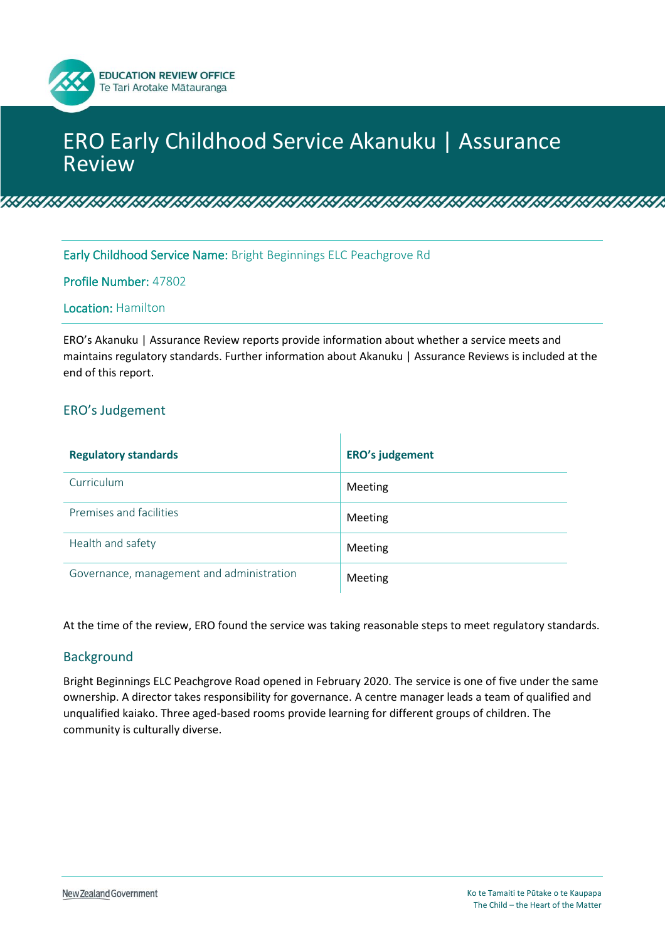# ERO Early Childhood Service Akanuku | Assurance Review

<u>ik in die verste van die versteling van die versteling van die versteling van die versteling van die verstelin</u>

Early Childhood Service Name: Bright Beginnings ELC Peachgrove Rd

Profile Number: 47802

**EDUCATION REVIEW OFFICE** Te Tari Arotake Mātauranga

#### Location: Hamilton

ERO's Akanuku | Assurance Review reports provide information about whether a service meets and maintains regulatory standards. Further information about Akanuku | Assurance Reviews is included at the end of this report.

## ERO's Judgement

| <b>Regulatory standards</b>               | <b>ERO's judgement</b> |
|-------------------------------------------|------------------------|
| Curriculum                                | Meeting                |
| Premises and facilities                   | Meeting                |
| Health and safety                         | Meeting                |
| Governance, management and administration | Meeting                |

At the time of the review, ERO found the service was taking reasonable steps to meet regulatory standards.

#### Background

Bright Beginnings ELC Peachgrove Road opened in February 2020. The service is one of five under the same ownership. A director takes responsibility for governance. A centre manager leads a team of qualified and unqualified kaiako. Three aged-based rooms provide learning for different groups of children. The community is culturally diverse.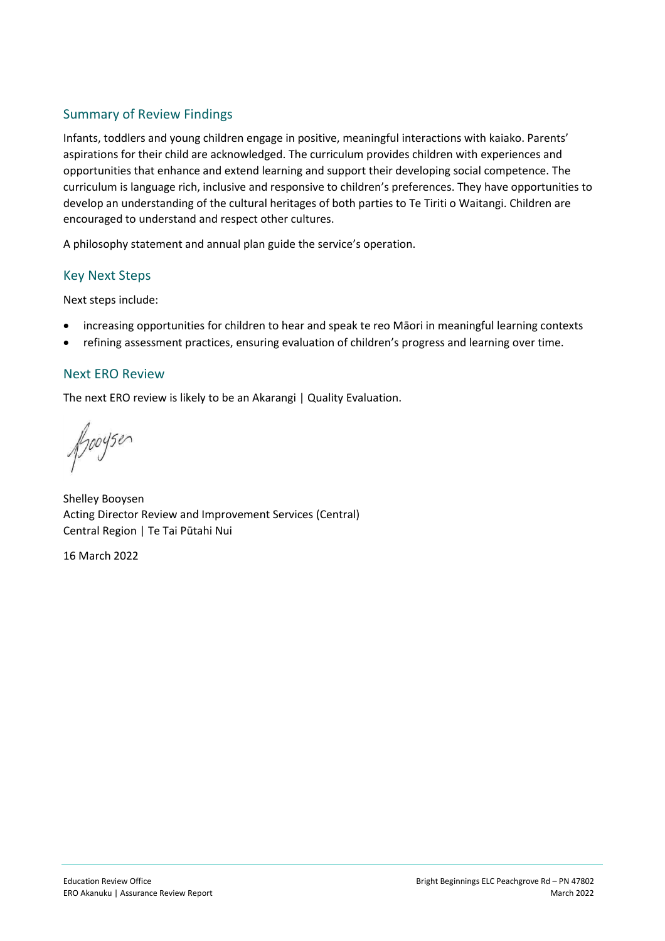# Summary of Review Findings

Infants, toddlers and young children engage in positive, meaningful interactions with kaiako. Parents' aspirations for their child are acknowledged. The curriculum provides children with experiences and opportunities that enhance and extend learning and support their developing social competence. The curriculum is language rich, inclusive and responsive to children's preferences. They have opportunities to develop an understanding of the cultural heritages of both parties to Te Tiriti o Waitangi. Children are encouraged to understand and respect other cultures.

A philosophy statement and annual plan guide the service's operation.

### Key Next Steps

Next steps include:

- increasing opportunities for children to hear and speak te reo Māori in meaningful learning contexts
- refining assessment practices, ensuring evaluation of children's progress and learning over time.

### Next ERO Review

The next ERO review is likely to be an Akarangi | Quality Evaluation.

fooyser

Shelley Booysen Acting Director Review and Improvement Services (Central) Central Region | Te Tai Pūtahi Nui

16 March 2022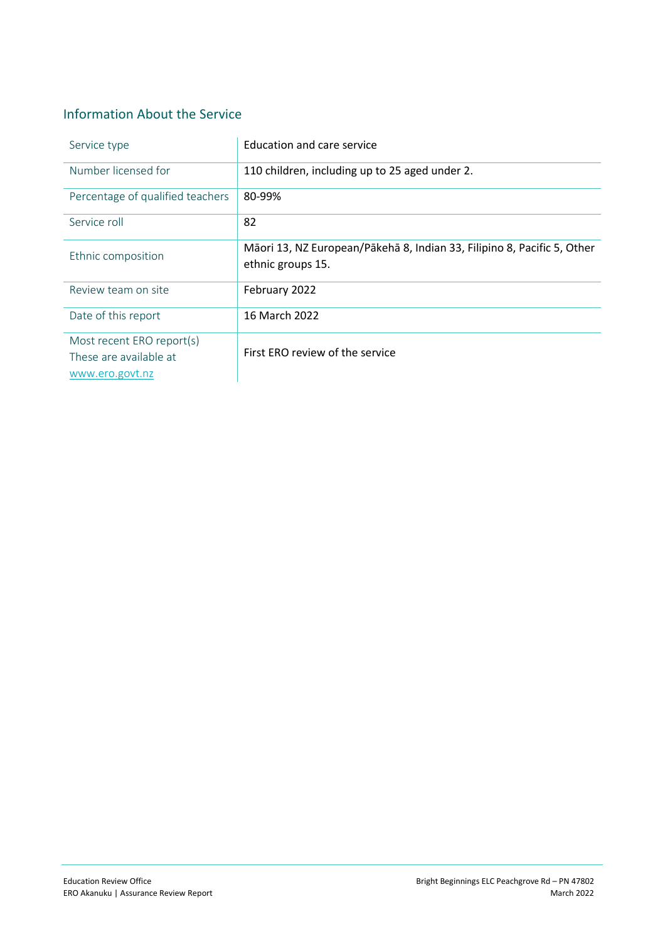# Information About the Service

| Service type                                                           | Education and care service                                                                   |
|------------------------------------------------------------------------|----------------------------------------------------------------------------------------------|
| Number licensed for                                                    | 110 children, including up to 25 aged under 2.                                               |
| Percentage of qualified teachers                                       | 80-99%                                                                                       |
| Service roll                                                           | 82                                                                                           |
| Ethnic composition                                                     | Māori 13, NZ European/Pākehā 8, Indian 33, Filipino 8, Pacific 5, Other<br>ethnic groups 15. |
| Review team on site                                                    | February 2022                                                                                |
| Date of this report                                                    | 16 March 2022                                                                                |
| Most recent ERO report(s)<br>These are available at<br>www.ero.govt.nz | First ERO review of the service                                                              |